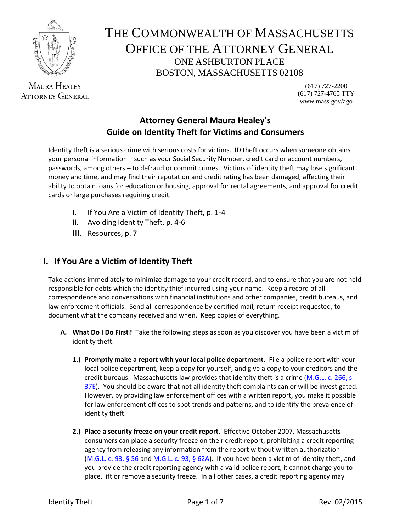

**MAURA HEALEY ATTORNEY GENERAL** 

# THE COMMONWEALTH OF MASSACHUSETTS OFFICE OF THE ATTORNEY GENERAL ONE ASHBURTON PLACE BOSTON, MASSACHUSETTS 02108

(617) 727-2200 (617) 727-4765 TTY www.mass.gov/ago

# **Attorney General Maura Healey's Guide on Identity Theft for Victims and Consumers**

Identity theft is a serious crime with serious costs for victims. ID theft occurs when someone obtains your personal information – such as your Social Security Number, credit card or account numbers, passwords, among others – to defraud or commit crimes. Victims of identity theft may lose significant money and time, and may find their reputation and credit rating has been damaged, affecting their ability to obtain loans for education or housing, approval for rental agreements, and approval for credit cards or large purchases requiring credit.

- I. If You Are a Victim of Identity Theft, p. 1-4
- II. Avoiding Identity Theft, p. 4-6
- III. Resources, p. 7

# **I. If You Are a Victim of Identity Theft**

Take actions immediately to minimize damage to your credit record, and to ensure that you are not held responsible for debts which the identity thief incurred using your name. Keep a record of all correspondence and conversations with financial institutions and other companies, credit bureaus, and law enforcement officials. Send all correspondence by certified mail, return receipt requested, to document what the company received and when. Keep copies of everything.

- **A. What Do I Do First?** Take the following steps as soon as you discover you have been a victim of identity theft.
	- **1.) Promptly make a report with your local police department.** File a police report with your local police department, keep a copy for yourself, and give a copy to your creditors and the credit bureaus. Massachusetts law provides that identity theft is a crime [\(M.G.L. c. 266, s.](http://www.mass.gov/legis/laws/mgl/266-37e.htm)  [37E\)](http://www.mass.gov/legis/laws/mgl/266-37e.htm). You should be aware that not all identity theft complaints can or will be investigated. However, by providing law enforcement offices with a written report, you make it possible for law enforcement offices to spot trends and patterns, and to identify the prevalence of identity theft.
	- **2.) Place a security freeze on your credit report.** Effective October 2007, Massachusetts consumers can place a security freeze on their credit report, prohibiting a credit reporting agency from releasing any information from the report without written authorization [\(M.G.L. c. 93, § 56](http://www.malegislature.gov/Laws/GeneralLaws/PartI/TitleXV/Chapter93/Section56) an[d M.G.L. c. 93, § 62A\)](http://www.malegislature.gov/Laws/GeneralLaws/PartI/TitleXV/Chapter93/Section62a). If you have been a victim of identity theft, and you provide the credit reporting agency with a valid police report, it cannot charge you to place, lift or remove a security freeze. In all other cases, a credit reporting agency may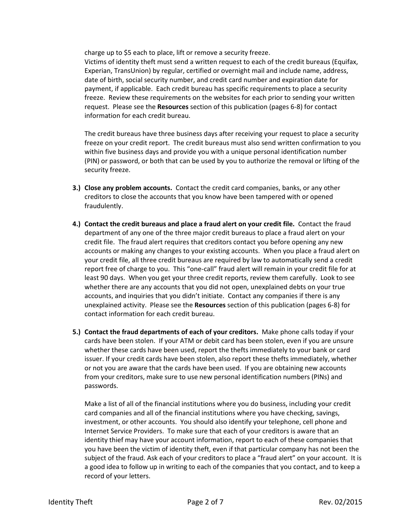charge up to \$5 each to place, lift or remove a security freeze.

Victims of identity theft must send a written request to each of the credit bureaus (Equifax, Experian, TransUnion) by regular, certified or overnight mail and include name, address, date of birth, social security number, and credit card number and expiration date for payment, if applicable. Each credit bureau has specific requirements to place a security freeze. Review these requirements on the websites for each prior to sending your written request. Please see the **Resources** section of this publication (pages 6-8) for contact information for each credit bureau.

The credit bureaus have three business days after receiving your request to place a security freeze on your credit report. The credit bureaus must also send written confirmation to you within five business days and provide you with a unique personal identification number (PIN) or password, or both that can be used by you to authorize the removal or lifting of the security freeze.

- **3.) Close any problem accounts.** Contact the credit card companies, banks, or any other creditors to close the accounts that you know have been tampered with or opened fraudulently.
- **4.) Contact the credit bureaus and place a fraud alert on your credit file.** Contact the fraud department of any one of the three major credit bureaus to place a fraud alert on your credit file. The fraud alert requires that creditors contact you before opening any new accounts or making any changes to your existing accounts. When you place a fraud alert on your credit file, all three credit bureaus are required by law to automatically send a credit report free of charge to you. This "one-call" fraud alert will remain in your credit file for at least 90 days. When you get your three credit reports, review them carefully. Look to see whether there are any accounts that you did not open, unexplained debts on your true accounts, and inquiries that you didn't initiate. Contact any companies if there is any unexplained activity. Please see the **Resources** section of this publication (pages 6-8) for contact information for each credit bureau.
- **5.) Contact the fraud departments of each of your creditors.** Make phone calls today if your cards have been stolen. If your ATM or debit card has been stolen, even if you are unsure whether these cards have been used, report the thefts immediately to your bank or card issuer. If your credit cards have been stolen, also report these thefts immediately, whether or not you are aware that the cards have been used. If you are obtaining new accounts from your creditors, make sure to use new personal identification numbers (PINs) and passwords.

Make a list of all of the financial institutions where you do business, including your credit card companies and all of the financial institutions where you have checking, savings, investment, or other accounts. You should also identify your telephone, cell phone and Internet Service Providers. To make sure that each of your creditors is aware that an identity thief may have your account information, report to each of these companies that you have been the victim of identity theft, even if that particular company has not been the subject of the fraud. Ask each of your creditors to place a "fraud alert" on your account. It is a good idea to follow up in writing to each of the companies that you contact, and to keep a record of your letters.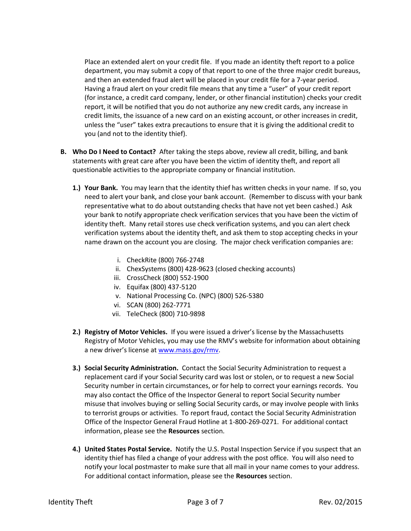Place an extended alert on your credit file. If you made an identity theft report to a police department, you may submit a copy of that report to one of the three major credit bureaus, and then an extended fraud alert will be placed in your credit file for a 7-year period. Having a fraud alert on your credit file means that any time a "user" of your credit report (for instance, a credit card company, lender, or other financial institution) checks your credit report, it will be notified that you do not authorize any new credit cards, any increase in credit limits, the issuance of a new card on an existing account, or other increases in credit, unless the "user" takes extra precautions to ensure that it is giving the additional credit to you (and not to the identity thief).

- **B. Who Do I Need to Contact?** After taking the steps above, review all credit, billing, and bank statements with great care after you have been the victim of identity theft, and report all questionable activities to the appropriate company or financial institution.
	- **1.) Your Bank.** You may learn that the identity thief has written checks in your name. If so, you need to alert your bank, and close your bank account. (Remember to discuss with your bank representative what to do about outstanding checks that have not yet been cashed.) Ask your bank to notify appropriate check verification services that you have been the victim of identity theft. Many retail stores use check verification systems, and you can alert check verification systems about the identity theft, and ask them to stop accepting checks in your name drawn on the account you are closing. The major check verification companies are:
		- i. CheckRite (800) 766-2748
		- ii. ChexSystems (800) 428-9623 (closed checking accounts)
		- iii. CrossCheck (800) 552-1900
		- iv. Equifax (800) 437-5120
		- v. National Processing Co. (NPC) (800) 526-5380
		- vi. SCAN (800) 262-7771
		- vii. TeleCheck (800) 710-9898
	- **2.) Registry of Motor Vehicles.** If you were issued a driver's license by the Massachusetts Registry of Motor Vehicles, you may use the RMV's website for information about obtaining a new driver's license at [www.mass.gov/rmv.](http://www.mass.gov/rmv)
	- **3.) Social Security Administration.** Contact the Social Security Administration to request a replacement card if your Social Security card was lost or stolen, or to request a new Social Security number in certain circumstances, or for help to correct your earnings records. You may also contact the Office of the Inspector General to report Social Security number misuse that involves buying or selling Social Security cards, or may involve people with links to terrorist groups or activities. To report fraud, contact the Social Security Administration Office of the Inspector General Fraud Hotline at 1-800-269-0271. For additional contact information, please see the **Resources** section.
	- **4.) United States Postal Service.** Notify the U.S. Postal Inspection Service if you suspect that an identity thief has filed a change of your address with the post office. You will also need to notify your local postmaster to make sure that all mail in your name comes to your address. For additional contact information, please see the **Resources** section.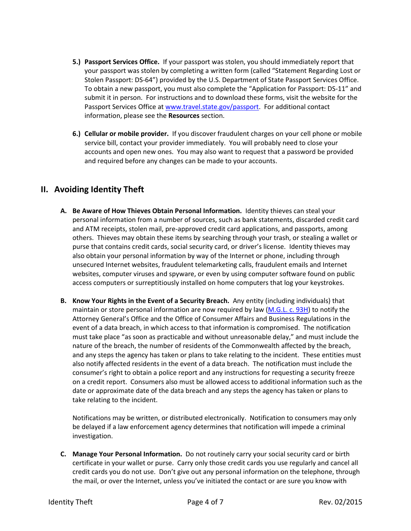- **5.) Passport Services Office.** If your passport was stolen, you should immediately report that your passport was stolen by completing a written form (called "Statement Regarding Lost or Stolen Passport: DS-64") provided by the U.S. Department of State Passport Services Office. To obtain a new passport, you must also complete the "Application for Passport: DS-11" and submit it in person. For instructions and to download these forms, visit the website for the Passport Services Office a[t www.travel.state.gov/passport.](http://www.travel.state.gov/passport) For additional contact information, please see the **Resources** section.
- **6.) Cellular or mobile provider.** If you discover fraudulent charges on your cell phone or mobile service bill, contact your provider immediately. You will probably need to close your accounts and open new ones. You may also want to request that a password be provided and required before any changes can be made to your accounts.

# **II. Avoiding Identity Theft**

- **A. Be Aware of How Thieves Obtain Personal Information.** Identity thieves can steal your personal information from a number of sources, such as bank statements, discarded credit card and ATM receipts, stolen mail, pre-approved credit card applications, and passports, among others. Thieves may obtain these items by searching through your trash, or stealing a wallet or purse that contains credit cards, social security card, or driver's license. Identity thieves may also obtain your personal information by way of the Internet or phone, including through unsecured Internet websites, fraudulent telemarketing calls, fraudulent emails and Internet websites, computer viruses and spyware, or even by using computer software found on public access computers or surreptitiously installed on home computers that log your keystrokes.
- **B. Know Your Rights in the Event of a Security Breach.** Any entity (including individuals) that maintain or store personal information are now required by law [\(M.G.L. c. 93H\)](http://www.mass.gov/legis/laws/mgl/gl-93h-toc.htm) to notify the Attorney General's Office and the Office of Consumer Affairs and Business Regulations in the event of a data breach, in which access to that information is compromised. The notification must take place "as soon as practicable and without unreasonable delay," and must include the nature of the breach, the number of residents of the Commonwealth affected by the breach, and any steps the agency has taken or plans to take relating to the incident. These entities must also notify affected residents in the event of a data breach. The notification must include the consumer's right to obtain a police report and any instructions for requesting a security freeze on a credit report. Consumers also must be allowed access to additional information such as the date or approximate date of the data breach and any steps the agency has taken or plans to take relating to the incident.

Notifications may be written, or distributed electronically. Notification to consumers may only be delayed if a law enforcement agency determines that notification will impede a criminal investigation.

**C. Manage Your Personal Information.** Do not routinely carry your social security card or birth certificate in your wallet or purse. Carry only those credit cards you use regularly and cancel all credit cards you do not use. Don't give out any personal information on the telephone, through the mail, or over the Internet, unless you've initiated the contact or are sure you know with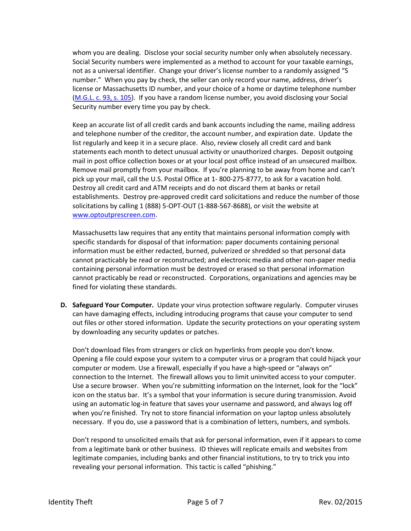whom you are dealing. Disclose your social security number only when absolutely necessary. Social Security numbers were implemented as a method to account for your taxable earnings, not as a universal identifier. Change your driver's license number to a randomly assigned "S number." When you pay by check, the seller can only record your name, address, driver's license or Massachusetts ID number, and your choice of a home or daytime telephone number [\(M.G.L. c. 93, s. 105\)](http://www.mass.gov/legis/laws/mgl/93-105.htm). If you have a random license number, you avoid disclosing your Social Security number every time you pay by check.

Keep an accurate list of all credit cards and bank accounts including the name, mailing address and telephone number of the creditor, the account number, and expiration date. Update the list regularly and keep it in a secure place. Also, review closely all credit card and bank statements each month to detect unusual activity or unauthorized charges. Deposit outgoing mail in post office collection boxes or at your local post office instead of an unsecured mailbox. Remove mail promptly from your mailbox. If you're planning to be away from home and can't pick up your mail, call the U.S. Postal Office at 1- 800-275-8777, to ask for a vacation hold. Destroy all credit card and ATM receipts and do not discard them at banks or retail establishments. Destroy pre-approved credit card solicitations and reduce the number of those solicitations by calling 1 (888) 5-OPT-OUT (1-888-567-8688), or visit the website at [www.optoutprescreen.com.](http://www.optoutprescreen.com/)

Massachusetts law requires that any entity that maintains personal information comply with specific standards for disposal of that information: paper documents containing personal information must be either redacted, burned, pulverized or shredded so that personal data cannot practicably be read or reconstructed; and electronic media and other non-paper media containing personal information must be destroyed or erased so that personal information cannot practicably be read or reconstructed. Corporations, organizations and agencies may be fined for violating these standards.

**D. Safeguard Your Computer.** Update your virus protection software regularly. Computer viruses can have damaging effects, including introducing programs that cause your computer to send out files or other stored information. Update the security protections on your operating system by downloading any security updates or patches.

Don't download files from strangers or click on hyperlinks from people you don't know. Opening a file could expose your system to a computer virus or a program that could hijack your computer or modem. Use a firewall, especially if you have a high-speed or "always on" connection to the Internet. The firewall allows you to limit uninvited access to your computer. Use a secure browser. When you're submitting information on the Internet, look for the "lock" icon on the status bar. It's a symbol that your information is secure during transmission. Avoid using an automatic log-in feature that saves your username and password, and always log off when you're finished. Try not to store financial information on your laptop unless absolutely necessary. If you do, use a password that is a combination of letters, numbers, and symbols.

Don't respond to unsolicited emails that ask for personal information, even if it appears to come from a legitimate bank or other business. ID thieves will replicate emails and websites from legitimate companies, including banks and other financial institutions, to try to trick you into revealing your personal information. This tactic is called "phishing."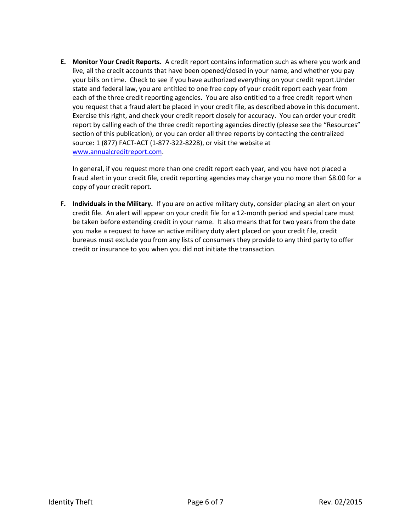**E. Monitor Your Credit Reports.** A credit report contains information such as where you work and live, all the credit accounts that have been opened/closed in your name, and whether you pay your bills on time. Check to see if you have authorized everything on your credit report.Under state and federal law, you are entitled to one free copy of your credit report each year from each of the three credit reporting agencies. You are also entitled to a free credit report when you request that a fraud alert be placed in your credit file, as described above in this document. Exercise this right, and check your credit report closely for accuracy. You can order your credit report by calling each of the three credit reporting agencies directly (please see the "Resources" section of this publication), or you can order all three reports by contacting the centralized source: 1 (877) FACT-ACT (1-877-322-8228), or visit the website at [www.annualcreditreport.com.](http://www.annualcreditreport.com/)

In general, if you request more than one credit report each year, and you have not placed a fraud alert in your credit file, credit reporting agencies may charge you no more than \$8.00 for a copy of your credit report.

**F. Individuals in the Military.** If you are on active military duty, consider placing an alert on your credit file. An alert will appear on your credit file for a 12-month period and special care must be taken before extending credit in your name. It also means that for two years from the date you make a request to have an active military duty alert placed on your credit file, credit bureaus must exclude you from any lists of consumers they provide to any third party to offer credit or insurance to you when you did not initiate the transaction.